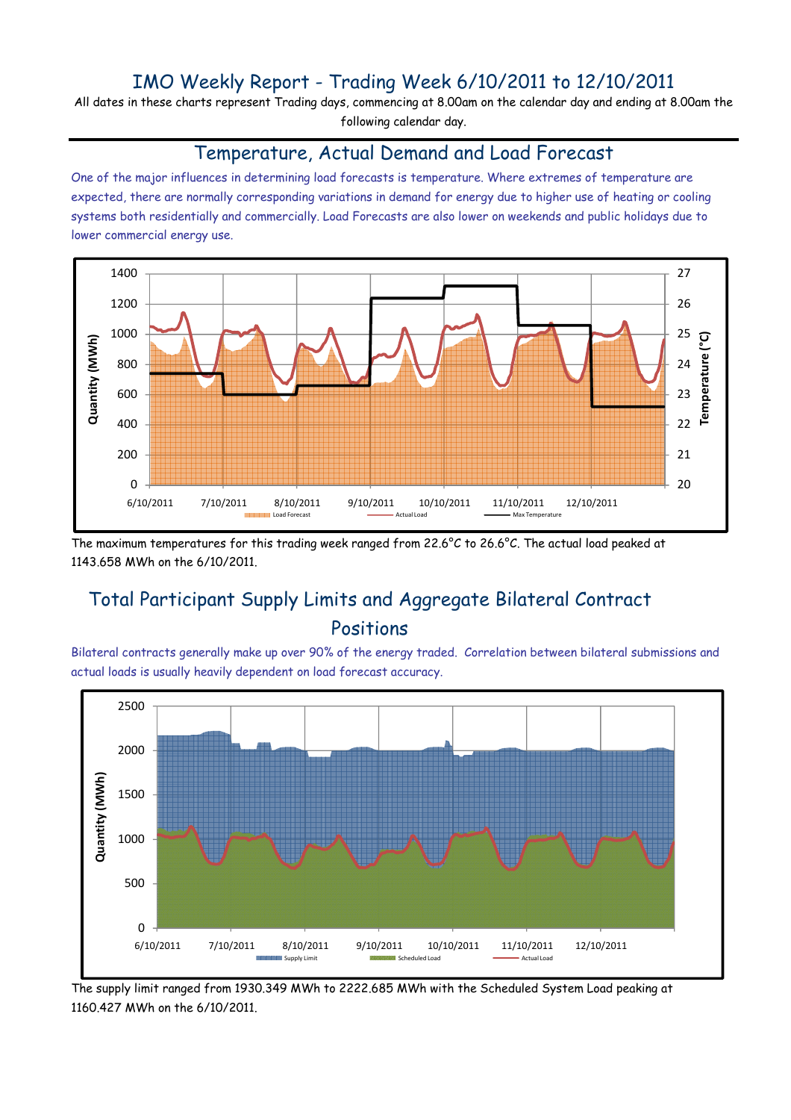### IMO Weekly Report - Trading Week 6/10/2011 to 12/10/2011

All dates in these charts represent Trading days, commencing at 8.00am on the calendar day and ending at 8.00am the following calendar day.

#### Temperature, Actual Demand and Load Forecast

One of the major influences in determining load forecasts is temperature. Where extremes of temperature are expected, there are normally corresponding variations in demand for energy due to higher use of heating or cooling systems both residentially and commercially. Load Forecasts are also lower on weekends and public holidays due to lower commercial energy use.



The maximum temperatures for this trading week ranged from 22.6°C to 26.6°C. The actual load peaked at 1143.658 MWh on the 6/10/2011.

# Total Participant Supply Limits and Aggregate Bilateral Contract Positions

Bilateral contracts generally make up over 90% of the energy traded. Correlation between bilateral submissions and actual loads is usually heavily dependent on load forecast accuracy.



The supply limit ranged from 1930.349 MWh to 2222.685 MWh with the Scheduled System Load peaking at 1160.427 MWh on the 6/10/2011.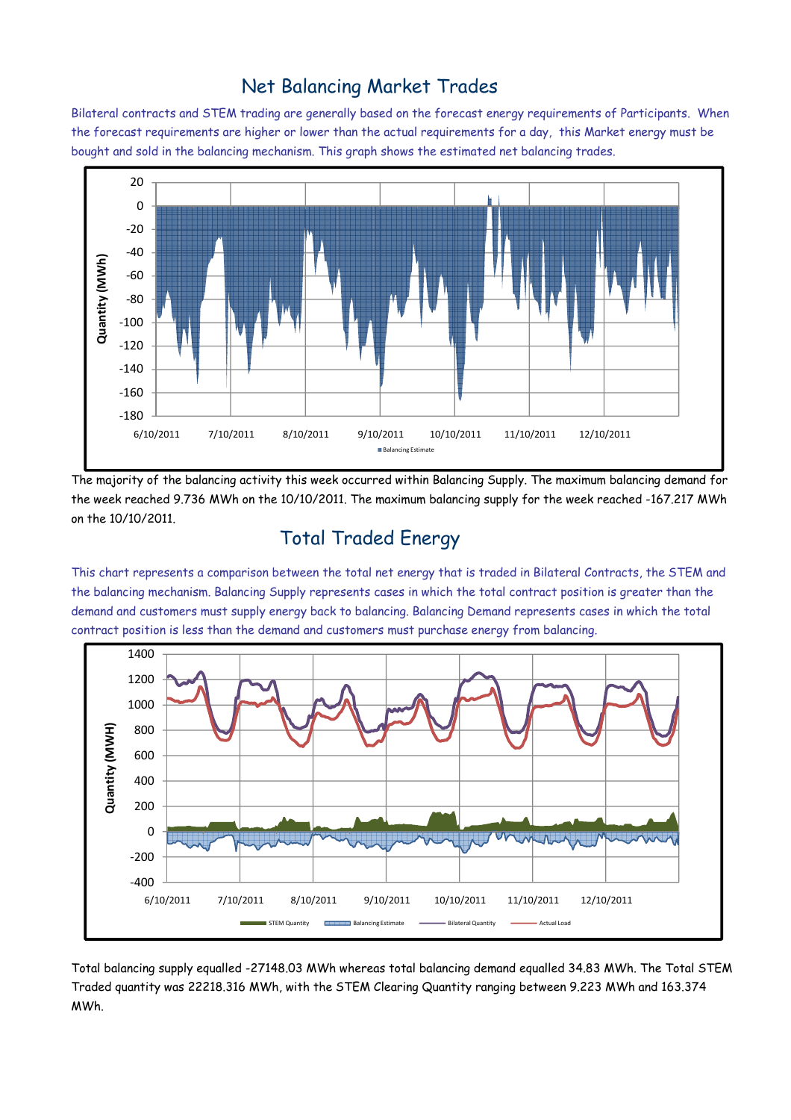### Net Balancing Market Trades

Bilateral contracts and STEM trading are generally based on the forecast energy requirements of Participants. When the forecast requirements are higher or lower than the actual requirements for a day, this Market energy must be bought and sold in the balancing mechanism. This graph shows the estimated net balancing trades.



The majority of the balancing activity this week occurred within Balancing Supply. The maximum balancing demand for the week reached 9.736 MWh on the 10/10/2011. The maximum balancing supply for the week reached -167.217 MWh on the 10/10/2011.

# Total Traded Energy

This chart represents a comparison between the total net energy that is traded in Bilateral Contracts, the STEM and the balancing mechanism. Balancing Supply represents cases in which the total contract position is greater than the demand and customers must supply energy back to balancing. Balancing Demand represents cases in which the total contract position is less than the demand and customers must purchase energy from balancing.



Total balancing supply equalled -27148.03 MWh whereas total balancing demand equalled 34.83 MWh. The Total STEM Traded quantity was 22218.316 MWh, with the STEM Clearing Quantity ranging between 9.223 MWh and 163.374 MWh.